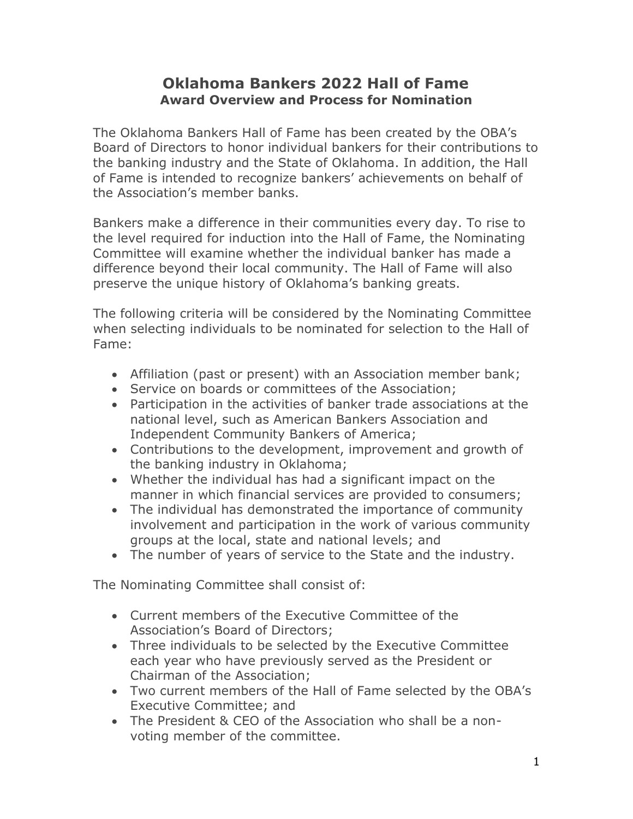## **Oklahoma Bankers 2022 Hall of Fame Award Overview and Process for Nomination**

The Oklahoma Bankers Hall of Fame has been created by the OBA's Board of Directors to honor individual bankers for their contributions to the banking industry and the State of Oklahoma. In addition, the Hall of Fame is intended to recognize bankers' achievements on behalf of the Association's member banks.

Bankers make a difference in their communities every day. To rise to the level required for induction into the Hall of Fame, the Nominating Committee will examine whether the individual banker has made a difference beyond their local community. The Hall of Fame will also preserve the unique history of Oklahoma's banking greats.

The following criteria will be considered by the Nominating Committee when selecting individuals to be nominated for selection to the Hall of Fame:

- Affiliation (past or present) with an Association member bank;
- Service on boards or committees of the Association:
- Participation in the activities of banker trade associations at the national level, such as American Bankers Association and Independent Community Bankers of America;
- Contributions to the development, improvement and growth of the banking industry in Oklahoma;
- Whether the individual has had a significant impact on the manner in which financial services are provided to consumers;
- The individual has demonstrated the importance of community involvement and participation in the work of various community groups at the local, state and national levels; and
- The number of years of service to the State and the industry.

The Nominating Committee shall consist of:

- Current members of the Executive Committee of the Association's Board of Directors;
- Three individuals to be selected by the Executive Committee each year who have previously served as the President or Chairman of the Association;
- Two current members of the Hall of Fame selected by the OBA's Executive Committee; and
- The President & CEO of the Association who shall be a nonvoting member of the committee.